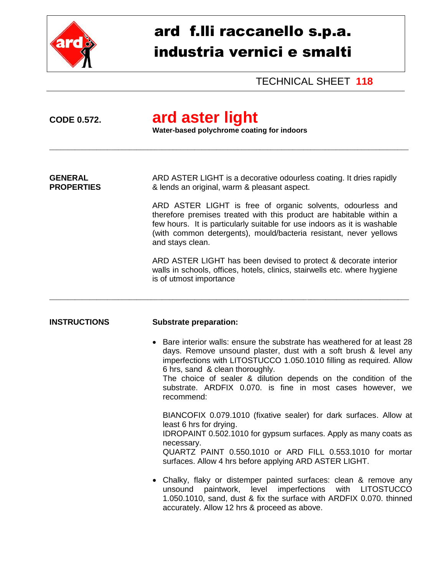

# ard f.lli raccanello s.p.a. industria vernici e smalti

TECHNICAL SHEET **118**

# **CODE 0.572. ard aster light**

**Water-based polychrome coating for indoors** 

\_\_\_\_\_\_\_\_\_\_\_\_\_\_\_\_\_\_\_\_\_\_\_\_\_\_\_\_\_\_\_\_\_\_\_\_\_\_\_\_\_\_\_\_\_\_\_\_\_\_\_\_\_\_\_\_\_\_\_\_\_\_\_\_\_\_\_\_\_\_\_\_\_\_\_\_\_\_\_\_\_\_\_\_\_\_\_\_\_\_\_\_\_\_\_\_\_\_\_

**GENERAL** ARD ASTER LIGHT is a decorative odourless coating. It dries rapidly **PROPERTIES** & lends an original, warm & pleasant aspect.

\_\_\_\_\_\_\_\_\_\_\_\_\_\_\_\_\_\_\_\_\_\_\_\_\_\_\_\_\_\_\_\_\_\_\_\_\_\_\_\_\_\_\_\_\_\_\_\_\_\_\_\_\_\_\_\_\_\_\_\_\_\_\_\_\_\_\_\_\_\_\_\_\_\_\_\_\_\_\_\_\_\_\_\_\_\_\_\_\_\_\_\_\_\_\_\_\_\_\_

ARD ASTER LIGHT is free of organic solvents, odourless and therefore premises treated with this product are habitable within a few hours. It is particularly suitable for use indoors as it is washable (with common detergents), mould/bacteria resistant, never yellows and stays clean.

ARD ASTER LIGHT has been devised to protect & decorate interior walls in schools, offices, hotels, clinics, stairwells etc. where hygiene is of utmost importance

#### **INSTRUCTIONS Substrate preparation:**

 Bare interior walls: ensure the substrate has weathered for at least 28 days. Remove unsound plaster, dust with a soft brush & level any imperfections with LITOSTUCCO 1.050.1010 filling as required. Allow 6 hrs, sand & clean thoroughly. The choice of sealer & dilution depends on the condition of the

substrate. ARDFIX 0.070. is fine in most cases however, we recommend:

BIANCOFIX 0.079.1010 (fixative sealer) for dark surfaces. Allow at least 6 hrs for drying.

IDROPAINT 0.502.1010 for gypsum surfaces. Apply as many coats as necessary.

QUARTZ PAINT 0.550.1010 or ARD FILL 0.553.1010 for mortar surfaces. Allow 4 hrs before applying ARD ASTER LIGHT.

 Chalky, flaky or distemper painted surfaces: clean & remove any unsound paintwork, level imperfections with LITOSTUCCO 1.050.1010, sand, dust & fix the surface with ARDFIX 0.070. thinned accurately. Allow 12 hrs & proceed as above.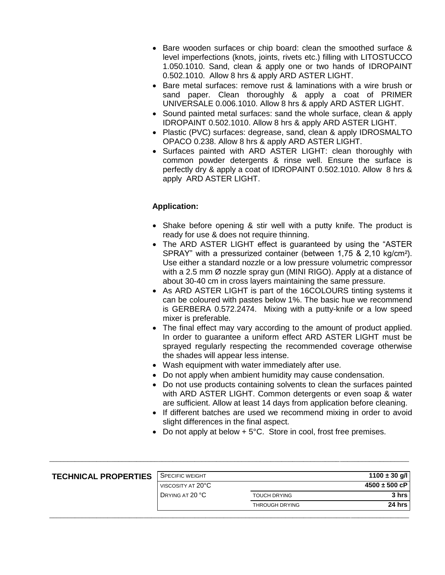- Bare wooden surfaces or chip board: clean the smoothed surface & level imperfections (knots, joints, rivets etc.) filling with LITOSTUCCO 1.050.1010. Sand, clean & apply one or two hands of IDROPAINT 0.502.1010. Allow 8 hrs & apply ARD ASTER LIGHT.
- Bare metal surfaces: remove rust & laminations with a wire brush or sand paper. Clean thoroughly & apply a coat of PRIMER UNIVERSALE 0.006.1010. Allow 8 hrs & apply ARD ASTER LIGHT.
- Sound painted metal surfaces: sand the whole surface, clean & apply IDROPAINT 0.502.1010. Allow 8 hrs & apply ARD ASTER LIGHT.
- Plastic (PVC) surfaces: degrease, sand, clean & apply IDROSMALTO OPACO 0.238. Allow 8 hrs & apply ARD ASTER LIGHT.
- Surfaces painted with ARD ASTER LIGHT: clean thoroughly with common powder detergents & rinse well. Ensure the surface is perfectly dry & apply a coat of IDROPAINT 0.502.1010. Allow 8 hrs & apply ARD ASTER LIGHT.

### **Application:**

- Shake before opening & stir well with a putty knife. The product is ready for use & does not require thinning.
- The ARD ASTER LIGHT effect is quaranteed by using the "ASTER" SPRAY" with a pressurized container (between 1,75 & 2,10 kg/cm²). Use either a standard nozzle or a low pressure volumetric compressor with a 2.5 mm Ø nozzle spray gun (MINI RIGO). Apply at a distance of about 30-40 cm in cross layers maintaining the same pressure.
- As ARD ASTER LIGHT is part of the 16COLOURS tinting systems it can be coloured with pastes below 1%. The basic hue we recommend is GERBERA 0.572.2474. Mixing with a putty-knife or a low speed mixer is preferable.
- The final effect may vary according to the amount of product applied. In order to guarantee a uniform effect ARD ASTER LIGHT must be sprayed regularly respecting the recommended coverage otherwise the shades will appear less intense.
- Wash equipment with water immediately after use.
- Do not apply when ambient humidity may cause condensation.
- Do not use products containing solvents to clean the surfaces painted with ARD ASTER LIGHT. Common detergents or even soap & water are sufficient. Allow at least 14 days from application before cleaning.
- If different batches are used we recommend mixing in order to avoid slight differences in the final aspect.
- Do not apply at below  $+5^{\circ}$ C. Store in cool, frost free premises.

| <b>TECHNICAL PROPERTIES</b> | <b>SPECIFIC WEIGHT</b> |                       | $1100 \pm 30$ g/l |
|-----------------------------|------------------------|-----------------------|-------------------|
|                             | VISCOSITY AT 20°C      |                       | $4500 \pm 500$ cP |
|                             | DRYING AT 20 °C        | <b>TOUCH DRYING</b>   | 3 hrs             |
|                             |                        | <b>THROUGH DRYING</b> | 24 hrs            |
|                             |                        |                       |                   |

\_\_\_\_\_\_\_\_\_\_\_\_\_\_\_\_\_\_\_\_\_\_\_\_\_\_\_\_\_\_\_\_\_\_\_\_\_\_\_\_\_\_\_\_\_\_\_\_\_\_\_\_\_\_\_\_\_\_\_\_\_\_\_\_\_\_\_\_\_\_\_\_\_\_\_\_\_\_\_\_\_\_\_\_\_\_\_\_\_\_\_\_\_\_\_\_\_\_\_